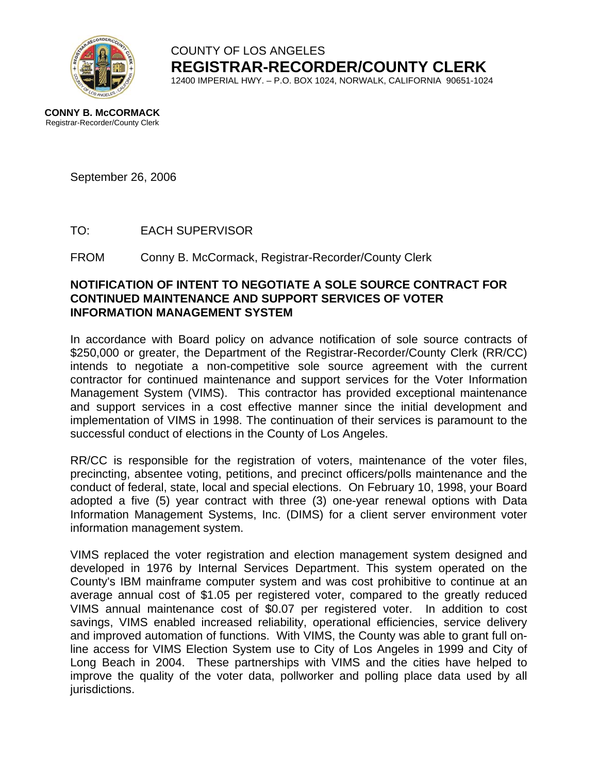

COUNTY OF LOS ANGELES **REGISTRAR-RECORDER/COUNTY CLERK** 12400 IMPERIAL HWY. – P.O. BOX 1024, NORWALK, CALIFORNIA 90651-1024

September 26, 2006

TO: EACH SUPERVISOR

FROM Conny B. McCormack, Registrar-Recorder/County Clerk

## **NOTIFICATION OF INTENT TO NEGOTIATE A SOLE SOURCE CONTRACT FOR CONTINUED MAINTENANCE AND SUPPORT SERVICES OF VOTER INFORMATION MANAGEMENT SYSTEM**

In accordance with Board policy on advance notification of sole source contracts of \$250,000 or greater, the Department of the Registrar-Recorder/County Clerk (RR/CC) intends to negotiate a non-competitive sole source agreement with the current contractor for continued maintenance and support services for the Voter Information Management System (VIMS). This contractor has provided exceptional maintenance and support services in a cost effective manner since the initial development and implementation of VIMS in 1998. The continuation of their services is paramount to the successful conduct of elections in the County of Los Angeles.

RR/CC is responsible for the registration of voters, maintenance of the voter files, precincting, absentee voting, petitions, and precinct officers/polls maintenance and the conduct of federal, state, local and special elections. On February 10, 1998, your Board adopted a five (5) year contract with three (3) one-year renewal options with Data Information Management Systems, Inc. (DIMS) for a client server environment voter information management system.

VIMS replaced the voter registration and election management system designed and developed in 1976 by Internal Services Department. This system operated on the County's IBM mainframe computer system and was cost prohibitive to continue at an average annual cost of \$1.05 per registered voter, compared to the greatly reduced VIMS annual maintenance cost of \$0.07 per registered voter. In addition to cost savings, VIMS enabled increased reliability, operational efficiencies, service delivery and improved automation of functions. With VIMS, the County was able to grant full online access for VIMS Election System use to City of Los Angeles in 1999 and City of Long Beach in 2004. These partnerships with VIMS and the cities have helped to improve the quality of the voter data, pollworker and polling place data used by all jurisdictions.